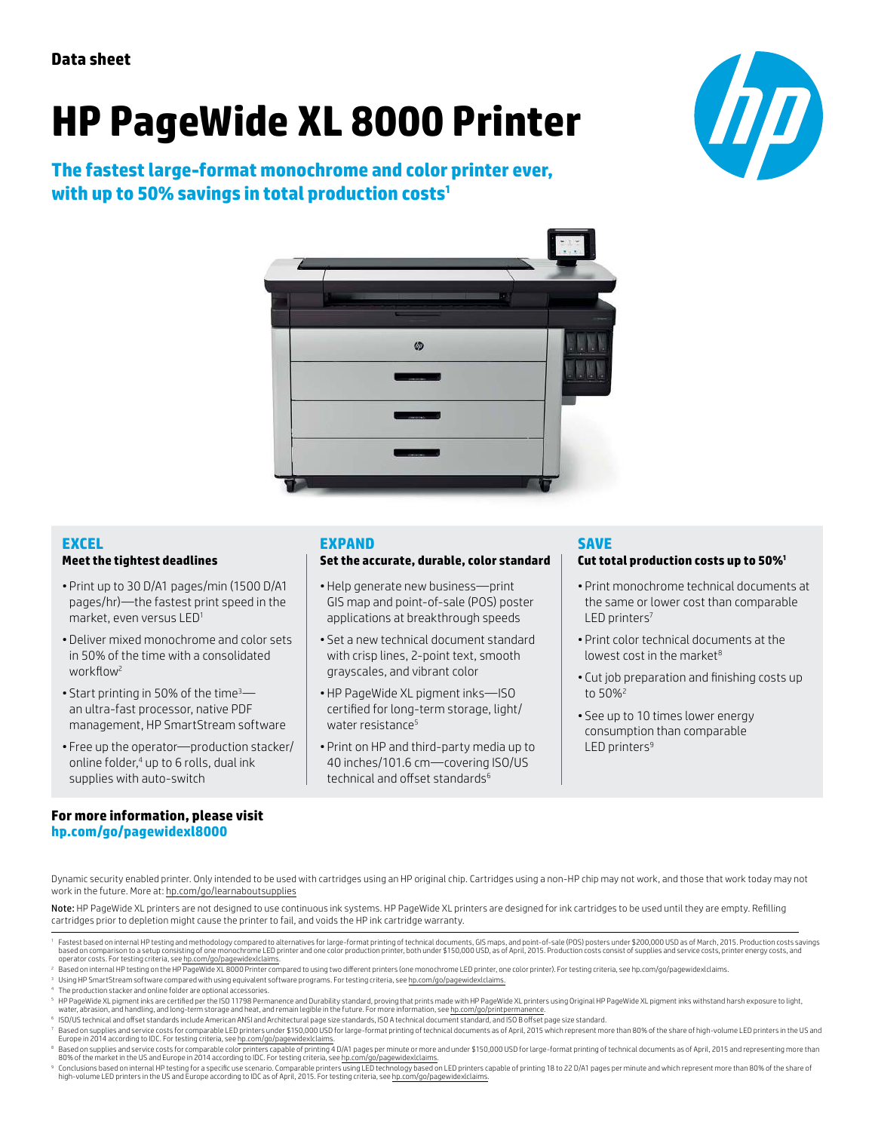# **HP PageWide XL 8000 Printer**

**The fastest large-format monochrome and color printer ever, with up to 50% savings in total production costs<sup>1</sup>**





#### **EXCEL**

#### **Meet the tightest deadlines**

- Print up to 30 D/A1 pages/min (1500 D/A1 pages/hr)—the fastest print speed in the market, even versus LED<sup>1</sup>
- Deliver mixed monochrome and color sets in 50% of the time with a consolidated workflow<sup>2</sup>
- Start printing in 50% of the time<sup>3</sup> an ultra-fast processor, native PDF management, HP SmartStream software
- Free up the operator—production stacker/ online folder,<sup>4</sup> up to 6 rolls, dual ink supplies with auto-switch

#### **EXPAND**

#### **Set the accurate, durable, color standard**

- Help generate new business—print GIS map and point-of-sale (POS) poster applications at breakthrough speeds
- Set a new technical document standard with crisp lines, 2-point text, smooth grayscales, and vibrant color
- HP PageWide XL pigment inks—ISO certified for long-term storage, light/ water resistance<sup>5</sup>
- Print on HP and third-party media up to 40 inches/101.6 cm—covering ISO/US technical and offset standards $6$

#### **SAVE**

#### **Cut total production costs up to 50%<sup>1</sup>**

- Print monochrome technical documents at the same or lower cost than comparable LED printers<sup>7</sup>
- Print color technical documents at the lowest cost in the market $8$
- Cut job preparation and finishing costs up to 50%<sup>2</sup>
- See up to 10 times lower energy consumption than comparable LED printers<sup>9</sup>

#### **For more information, please visit [hp.com/go/pagewidexl8000](http://www.hp.com/go/pagewidexl8000)**

Dynamic security enabled printer. Only intended to be used with cartridges using an HP original chip. Cartridges using a non-HP chip may not work, and those that work today may not work in the future. More at: [hp.com/go/learnaboutsupplies](http://hp.com/go/learnaboutsupplies)

Note: HP PageWide XL printers are not designed to use continuous ink systems. HP PageWide XL printers are designed for ink cartridges to be used until they are empty. Refilling cartridges prior to depletion might cause the printer to fail, and voids the HP ink cartridge warranty.

- 6 ISO/US technical and offset standards include American ANSI and Architectural page size standards, ISO A technical document standard, and ISO B offset page size standard.
- Based on supplies and service costs for comparable LED printers under \$150,000 USD for large-format printing of technical documents as of April, 2015 which represent more than 80% of the share of high-volume LED printers i Europe in 2014 according to IDC. For testing criteria, see h<u>p.com/go/pagewidexlclaims</u>.<br>® Based on supplies and service costs for comparable color printers capable of printing 4 D/A1 pages per minute or more and under \$15
- 80% of the market in the US and Europe in 2014 according to IDC. For testing criteria, see [hp.com/go/pagewidexlclaims.](http://hp.com/go/pagewidexlclaims)
- Conclusions based on internal HP testing for a specific use scenario. Comparable printers using LED technology based on LED printers capable of printing 18 to 22 D/A1 pages per minute and which represent more than 80% of t high-volume LED printers in the US and Europe according to IDC as of April, 2015. For testing criteria, see [hp.com/go/pagewidexlclaims](http://hp.com/go/pagewidexlclaims).

<sup>&#</sup>x27;Fastest based on internal HP testing and methodology compared to alternatives for large-format printing of technical documents, GIS maps, and point-of-sale (POS) posters under \$200,000 USD as of March, 2015. Production c

operator costs. For testing criteria, see h<u>p.com/go/pagewidexlclaims</u>.<br><sup>2</sup> Based on internal HP testing on the HP PageWide XL 8000 Printer compared to using two different printers (one monochrome LED printer, one color pr

<sup>&</sup>lt;sup>3</sup> Using HP SmartStream software compared with using equivalent software programs. For testing criteria, see [hp.com/go/pagewidexlclaims.](http://hp.com/go/pagewidexlclaims)

<sup>4</sup> The production stacker and online folder are optional accessories.

FHP PageWide XL pigment inks are certified per the ISO 11798 Permanence and Durability standard, proving that prints made with HP PageWide XL printers using Original HP PageWide XL pigment inks withstand harsh exposure to